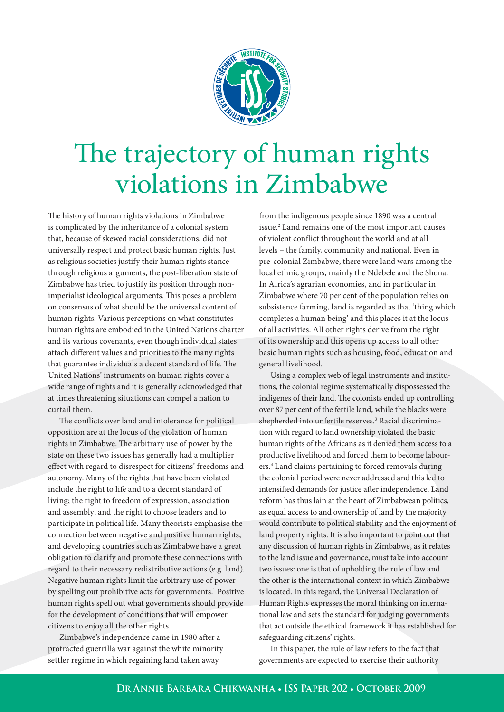

# The trajectory of human rights violations in Zimbabwe

The history of human rights violations in Zimbabwe is complicated by the inheritance of a colonial system that, because of skewed racial considerations, did not universally respect and protect basic human rights. Just as religious societies justify their human rights stance through religious arguments, the post-liberation state of Zimbabwe has tried to justify its position through nonimperialist ideological arguments. This poses a problem on consensus of what should be the universal content of human rights. Various perceptions on what constitutes human rights are embodied in the United Nations charter and its various covenants, even though individual states attach different values and priorities to the many rights that guarantee individuals a decent standard of life. The United Nations' instruments on human rights cover a wide range of rights and it is generally acknowledged that at times threatening situations can compel a nation to curtail them.

The conflicts over land and intolerance for political opposition are at the locus of the violation of human rights in Zimbabwe. The arbitrary use of power by the state on these two issues has generally had a multiplier effect with regard to disrespect for citizens' freedoms and autonomy. Many of the rights that have been violated include the right to life and to a decent standard of living; the right to freedom of expression, association and assembly; and the right to choose leaders and to participate in political life. Many theorists emphasise the connection between negative and positive human rights, and developing countries such as Zimbabwe have a great obligation to clarify and promote these connections with regard to their necessary redistributive actions (e.g. land). Negative human rights limit the arbitrary use of power by spelling out prohibitive acts for governments.<sup>1</sup> Positive human rights spell out what governments should provide for the development of conditions that will empower citizens to enjoy all the other rights.

Zimbabwe's independence came in 1980 after a protracted guerrilla war against the white minority settler regime in which regaining land taken away

from the indigenous people since 1890 was a central issue.2 Land remains one of the most important causes of violent conflict throughout the world and at all levels – the family, community and national. Even in pre-colonial Zimbabwe, there were land wars among the local ethnic groups, mainly the Ndebele and the Shona. In Africa's agrarian economies, and in particular in Zimbabwe where 70 per cent of the population relies on subsistence farming, land is regarded as that 'thing which completes a human being' and this places it at the locus of all activities. All other rights derive from the right of its ownership and this opens up access to all other basic human rights such as housing, food, education and general livelihood.

Using a complex web of legal instruments and institutions, the colonial regime systematically dispossessed the indigenes of their land. The colonists ended up controlling over 87 per cent of the fertile land, while the blacks were shepherded into unfertile reserves.<sup>3</sup> Racial discrimination with regard to land ownership violated the basic human rights of the Africans as it denied them access to a productive livelihood and forced them to become labourers.4 Land claims pertaining to forced removals during the colonial period were never addressed and this led to intensified demands for justice after independence. Land reform has thus lain at the heart of Zimbabwean politics, as equal access to and ownership of land by the majority would contribute to political stability and the enjoyment of land property rights. It is also important to point out that any discussion of human rights in Zimbabwe, as it relates to the land issue and governance, must take into account two issues: one is that of upholding the rule of law and the other is the international context in which Zimbabwe is located. In this regard, the Universal Declaration of Human Rights expresses the moral thinking on international law and sets the standard for judging governments that act outside the ethical framework it has established for safeguarding citizens' rights.

In this paper, the rule of law refers to the fact that governments are expected to exercise their authority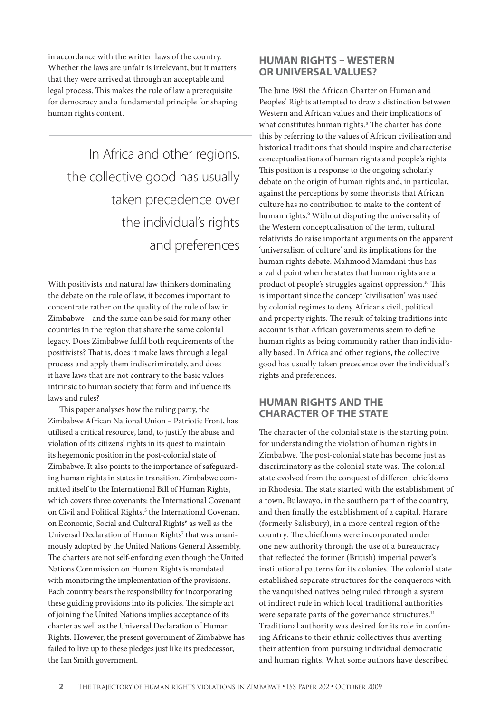in accordance with the written laws of the country. Whether the laws are unfair is irrelevant, but it matters that they were arrived at through an acceptable and legal process. This makes the rule of law a prerequisite for democracy and a fundamental principle for shaping human rights content.

In Africa and other regions, the collective good has usually taken precedence over the individual's rights and preferences

With positivists and natural law thinkers dominating the debate on the rule of law, it becomes important to concentrate rather on the quality of the rule of law in Zimbabwe – and the same can be said for many other countries in the region that share the same colonial legacy. Does Zimbabwe fulfil both requirements of the positivists? That is, does it make laws through a legal process and apply them indiscriminately, and does it have laws that are not contrary to the basic values intrinsic to human society that form and influence its laws and rules?

This paper analyses how the ruling party, the Zimbabwe African National Union – Patriotic Front, has utilised a critical resource, land, to justify the abuse and violation of its citizens' rights in its quest to maintain its hegemonic position in the post-colonial state of Zimbabwe. It also points to the importance of safeguarding human rights in states in transition. Zimbabwe committed itself to the International Bill of Human Rights, which covers three covenants: the International Covenant on Civil and Political Rights,<sup>5</sup> the International Covenant on Economic, Social and Cultural Rights<sup>6</sup> as well as the Universal Declaration of Human Rights<sup>7</sup> that was unanimously adopted by the United Nations General Assembly. The charters are not self-enforcing even though the United Nations Commission on Human Rights is mandated with monitoring the implementation of the provisions. Each country bears the responsibility for incorporating these guiding provisions into its policies. The simple act of joining the United Nations implies acceptance of its charter as well as the Universal Declaration of Human Rights. However, the present government of Zimbabwe has failed to live up to these pledges just like its predecessor, the Ian Smith government.

# **HUMAN RIGHTS – WESTERN OR UNIVERSAL VALUES?**

The June 1981 the African Charter on Human and Peoples' Rights attempted to draw a distinction between Western and African values and their implications of what constitutes human rights.<sup>8</sup> The charter has done this by referring to the values of African civilisation and historical traditions that should inspire and characterise conceptualisations of human rights and people's rights. This position is a response to the ongoing scholarly debate on the origin of human rights and, in particular, against the perceptions by some theorists that African culture has no contribution to make to the content of human rights.<sup>9</sup> Without disputing the universality of the Western conceptualisation of the term, cultural relativists do raise important arguments on the apparent 'universalism of culture' and its implications for the human rights debate. Mahmood Mamdani thus has a valid point when he states that human rights are a product of people's struggles against oppression.<sup>10</sup> This is important since the concept 'civilisation' was used by colonial regimes to deny Africans civil, political and property rights. The result of taking traditions into account is that African governments seem to define human rights as being community rather than individually based. In Africa and other regions, the collective good has usually taken precedence over the individual's rights and preferences.

# **HUMAN RIGHTS AND THE CHARACTER OF THE STATE**

The character of the colonial state is the starting point for understanding the violation of human rights in Zimbabwe. The post-colonial state has become just as discriminatory as the colonial state was. The colonial state evolved from the conquest of different chiefdoms in Rhodesia. The state started with the establishment of a town, Bulawayo, in the southern part of the country, and then finally the establishment of a capital, Harare (formerly Salisbury), in a more central region of the country. The chiefdoms were incorporated under one new authority through the use of a bureaucracy that reflected the former (British) imperial power's institutional patterns for its colonies. The colonial state established separate structures for the conquerors with the vanquished natives being ruled through a system of indirect rule in which local traditional authorities were separate parts of the governance structures.<sup>11</sup> Traditional authority was desired for its role in confining Africans to their ethnic collectives thus averting their attention from pursuing individual democratic and human rights. What some authors have described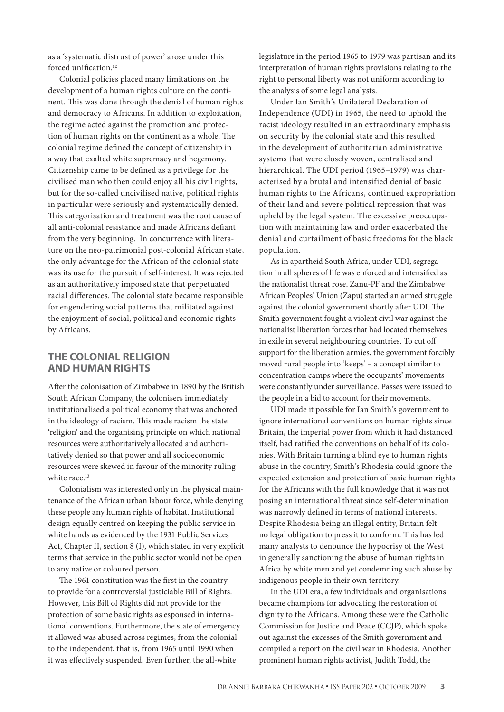as a 'systematic distrust of power' arose under this forced unification.<sup>12</sup>

Colonial policies placed many limitations on the development of a human rights culture on the continent. This was done through the denial of human rights and democracy to Africans. In addition to exploitation, the regime acted against the promotion and protection of human rights on the continent as a whole. The colonial regime defined the concept of citizenship in a way that exalted white supremacy and hegemony. Citizenship came to be defined as a privilege for the civilised man who then could enjoy all his civil rights, but for the so-called uncivilised native, political rights in particular were seriously and systematically denied. This categorisation and treatment was the root cause of all anti-colonial resistance and made Africans defiant from the very beginning. In concurrence with literature on the neo-patrimonial post-colonial African state, the only advantage for the African of the colonial state was its use for the pursuit of self-interest. It was rejected as an authoritatively imposed state that perpetuated racial differences. The colonial state became responsible for engendering social patterns that militated against the enjoyment of social, political and economic rights by Africans.

#### **THE COLONIAL RELIGION AND HUMAN RIGHTS**

After the colonisation of Zimbabwe in 1890 by the British South African Company, the colonisers immediately institutionalised a political economy that was anchored in the ideology of racism. This made racism the state 'religion' and the organising principle on which national resources were authoritatively allocated and authoritatively denied so that power and all socioeconomic resources were skewed in favour of the minority ruling white race.<sup>13</sup>

Colonialism was interested only in the physical maintenance of the African urban labour force, while denying these people any human rights of habitat. Institutional design equally centred on keeping the public service in white hands as evidenced by the 1931 Public Services Act, Chapter II, section 8 (I), which stated in very explicit terms that service in the public sector would not be open to any native or coloured person.

The 1961 constitution was the first in the country to provide for a controversial justiciable Bill of Rights. However, this Bill of Rights did not provide for the protection of some basic rights as espoused in international conventions. Furthermore, the state of emergency it allowed was abused across regimes, from the colonial to the independent, that is, from 1965 until 1990 when it was effectively suspended. Even further, the all-white

legislature in the period 1965 to 1979 was partisan and its interpretation of human rights provisions relating to the right to personal liberty was not uniform according to the analysis of some legal analysts.

Under Ian Smith's Unilateral Declaration of Independence (UDI) in 1965, the need to uphold the racist ideology resulted in an extraordinary emphasis on security by the colonial state and this resulted in the development of authoritarian administrative systems that were closely woven, centralised and hierarchical. The UDI period (1965–1979) was characterised by a brutal and intensified denial of basic human rights to the Africans, continued expropriation of their land and severe political repression that was upheld by the legal system. The excessive preoccupation with maintaining law and order exacerbated the denial and curtailment of basic freedoms for the black population.

As in apartheid South Africa, under UDI, segregation in all spheres of life was enforced and intensified as the nationalist threat rose. Zanu-PF and the Zimbabwe African Peoples' Union (Zapu) started an armed struggle against the colonial government shortly after UDI. The Smith government fought a violent civil war against the nationalist liberation forces that had located themselves in exile in several neighbouring countries. To cut off support for the liberation armies, the government forcibly moved rural people into 'keeps' – a concept similar to concentration camps where the occupants' movements were constantly under surveillance. Passes were issued to the people in a bid to account for their movements.

UDI made it possible for Ian Smith's government to ignore international conventions on human rights since Britain, the imperial power from which it had distanced itself, had ratified the conventions on behalf of its colonies. With Britain turning a blind eye to human rights abuse in the country, Smith's Rhodesia could ignore the expected extension and protection of basic human rights for the Africans with the full knowledge that it was not posing an international threat since self-determination was narrowly defined in terms of national interests. Despite Rhodesia being an illegal entity, Britain felt no legal obligation to press it to conform. This has led many analysts to denounce the hypocrisy of the West in generally sanctioning the abuse of human rights in Africa by white men and yet condemning such abuse by indigenous people in their own territory.

In the UDI era, a few individuals and organisations became champions for advocating the restoration of dignity to the Africans. Among these were the Catholic Commission for Justice and Peace (CCJP), which spoke out against the excesses of the Smith government and compiled a report on the civil war in Rhodesia. Another prominent human rights activist, Judith Todd, the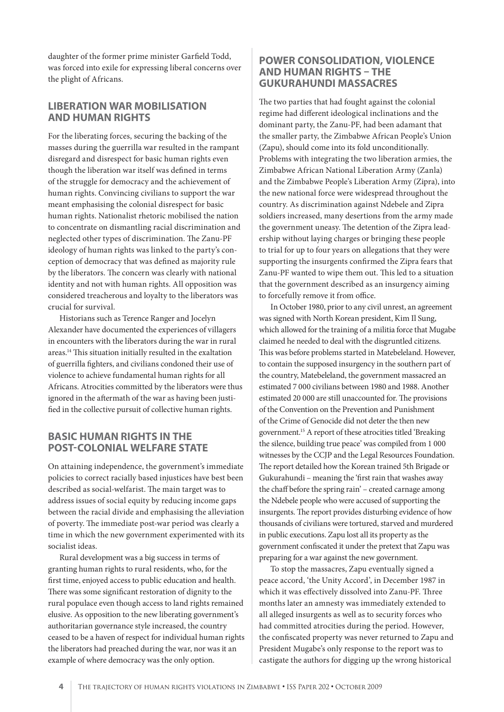daughter of the former prime minister Garfield Todd, was forced into exile for expressing liberal concerns over the plight of Africans.

## **LIBERATION WAR MOBILISATION AND HUMAN RIGHTS**

For the liberating forces, securing the backing of the masses during the guerrilla war resulted in the rampant disregard and disrespect for basic human rights even though the liberation war itself was defined in terms of the struggle for democracy and the achievement of human rights. Convincing civilians to support the war meant emphasising the colonial disrespect for basic human rights. Nationalist rhetoric mobilised the nation to concentrate on dismantling racial discrimination and neglected other types of discrimination. The Zanu-PF ideology of human rights was linked to the party's conception of democracy that was defined as majority rule by the liberators. The concern was clearly with national identity and not with human rights. All opposition was considered treacherous and loyalty to the liberators was crucial for survival.

Historians such as Terence Ranger and Jocelyn Alexander have documented the experiences of villagers in encounters with the liberators during the war in rural areas.<sup>14</sup> This situation initially resulted in the exaltation of guerrilla fighters, and civilians condoned their use of violence to achieve fundamental human rights for all Africans. Atrocities committed by the liberators were thus ignored in the aftermath of the war as having been justified in the collective pursuit of collective human rights.

## **BASIC HUMAN RIGHTS IN THE POST-COLONIAL WELFARE STATE**

On attaining independence, the government's immediate policies to correct racially based injustices have best been described as social-welfarist. The main target was to address issues of social equity by reducing income gaps between the racial divide and emphasising the alleviation of poverty. The immediate post-war period was clearly a time in which the new government experimented with its socialist ideas.

Rural development was a big success in terms of granting human rights to rural residents, who, for the first time, enjoyed access to public education and health. There was some significant restoration of dignity to the rural populace even though access to land rights remained elusive. As opposition to the new liberating government's authoritarian governance style increased, the country ceased to be a haven of respect for individual human rights the liberators had preached during the war, nor was it an example of where democracy was the only option.

# **POWER CONSOLIDATION, VIOLENCE AND HUMAN RIGHTS – THE GUKURAHUNDI MASSACRES**

The two parties that had fought against the colonial regime had different ideological inclinations and the dominant party, the Zanu-PF, had been adamant that the smaller party, the Zimbabwe African People's Union (Zapu), should come into its fold unconditionally. Problems with integrating the two liberation armies, the Zimbabwe African National Liberation Army (Zanla) and the Zimbabwe People's Liberation Army (Zipra), into the new national force were widespread throughout the country. As discrimination against Ndebele and Zipra soldiers increased, many desertions from the army made the government uneasy. The detention of the Zipra leadership without laying charges or bringing these people to trial for up to four years on allegations that they were supporting the insurgents confirmed the Zipra fears that Zanu-PF wanted to wipe them out. This led to a situation that the government described as an insurgency aiming to forcefully remove it from office.

In October 1980, prior to any civil unrest, an agreement was signed with North Korean president, Kim Il Sung, which allowed for the training of a militia force that Mugabe claimed he needed to deal with the disgruntled citizens. This was before problems started in Matebeleland. However, to contain the supposed insurgency in the southern part of the country, Matebeleland, the government massacred an estimated 7 000 civilians between 1980 and 1988. Another estimated 20 000 are still unaccounted for. The provisions of the Convention on the Prevention and Punishment of the Crime of Genocide did not deter the then new government.15 A report of these atrocities titled 'Breaking the silence, building true peace' was compiled from 1 000 witnesses by the CCJP and the Legal Resources Foundation. The report detailed how the Korean trained 5th Brigade or Gukurahundi – meaning the 'first rain that washes away the chaff before the spring rain' – created carnage among the Ndebele people who were accused of supporting the insurgents. The report provides disturbing evidence of how thousands of civilians were tortured, starved and murdered in public executions. Zapu lost all its property as the government confiscated it under the pretext that Zapu was preparing for a war against the new government.

To stop the massacres, Zapu eventually signed a peace accord, 'the Unity Accord', in December 1987 in which it was effectively dissolved into Zanu-PF. Three months later an amnesty was immediately extended to all alleged insurgents as well as to security forces who had committed atrocities during the period. However, the confiscated property was never returned to Zapu and President Mugabe's only response to the report was to castigate the authors for digging up the wrong historical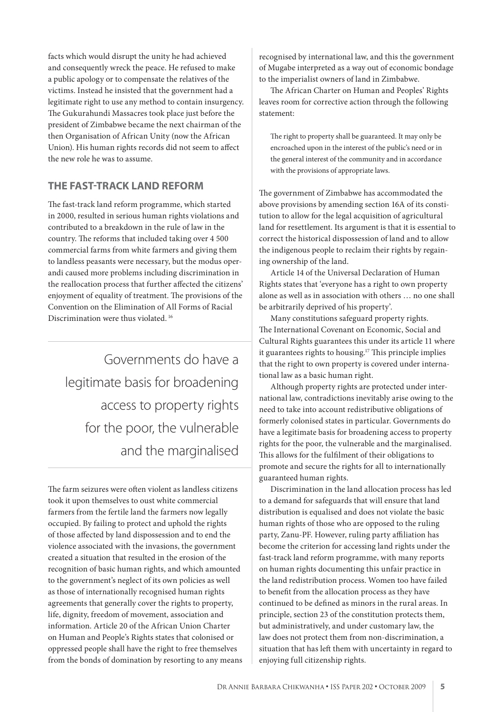facts which would disrupt the unity he had achieved and consequently wreck the peace. He refused to make a public apology or to compensate the relatives of the victims. Instead he insisted that the government had a legitimate right to use any method to contain insurgency. The Gukurahundi Massacres took place just before the president of Zimbabwe became the next chairman of the then Organisation of African Unity (now the African Union). His human rights records did not seem to affect the new role he was to assume.

# **THE FAST-TRACK LAND REFORM**

The fast-track land reform programme, which started in 2000, resulted in serious human rights violations and contributed to a breakdown in the rule of law in the country. The reforms that included taking over 4 500 commercial farms from white farmers and giving them to landless peasants were necessary, but the modus operandi caused more problems including discrimination in the reallocation process that further affected the citizens' enjoyment of equality of treatment. The provisions of the Convention on the Elimination of All Forms of Racial Discrimination were thus violated.<sup>16</sup>

Governments do have a legitimate basis for broadening access to property rights for the poor, the vulnerable and the marginalised

The farm seizures were often violent as landless citizens took it upon themselves to oust white commercial farmers from the fertile land the farmers now legally occupied. By failing to protect and uphold the rights of those affected by land dispossession and to end the violence associated with the invasions, the government created a situation that resulted in the erosion of the recognition of basic human rights, and which amounted to the government's neglect of its own policies as well as those of internationally recognised human rights agreements that generally cover the rights to property, life, dignity, freedom of movement, association and information. Article 20 of the African Union Charter on Human and People's Rights states that colonised or oppressed people shall have the right to free themselves from the bonds of domination by resorting to any means recognised by international law, and this the government of Mugabe interpreted as a way out of economic bondage to the imperialist owners of land in Zimbabwe.

The African Charter on Human and Peoples' Rights leaves room for corrective action through the following statement:

The right to property shall be guaranteed. It may only be encroached upon in the interest of the public's need or in the general interest of the community and in accordance with the provisions of appropriate laws.

The government of Zimbabwe has accommodated the above provisions by amending section 16A of its constitution to allow for the legal acquisition of agricultural land for resettlement. Its argument is that it is essential to correct the historical dispossession of land and to allow the indigenous people to reclaim their rights by regaining ownership of the land.

Article 14 of the Universal Declaration of Human Rights states that 'everyone has a right to own property alone as well as in association with others … no one shall be arbitrarily deprived of his property'.

Many constitutions safeguard property rights. The International Covenant on Economic, Social and Cultural Rights guarantees this under its article 11 where it guarantees rights to housing.<sup>17</sup> This principle implies that the right to own property is covered under international law as a basic human right.

Although property rights are protected under international law, contradictions inevitably arise owing to the need to take into account redistributive obligations of formerly colonised states in particular. Governments do have a legitimate basis for broadening access to property rights for the poor, the vulnerable and the marginalised. This allows for the fulfilment of their obligations to promote and secure the rights for all to internationally guaranteed human rights.

Discrimination in the land allocation process has led to a demand for safeguards that will ensure that land distribution is equalised and does not violate the basic human rights of those who are opposed to the ruling party, Zanu-PF. However, ruling party affiliation has become the criterion for accessing land rights under the fast-track land reform programme, with many reports on human rights documenting this unfair practice in the land redistribution process. Women too have failed to benefit from the allocation process as they have continued to be defined as minors in the rural areas. In principle, section 23 of the constitution protects them, but administratively, and under customary law, the law does not protect them from non-discrimination, a situation that has left them with uncertainty in regard to enjoying full citizenship rights.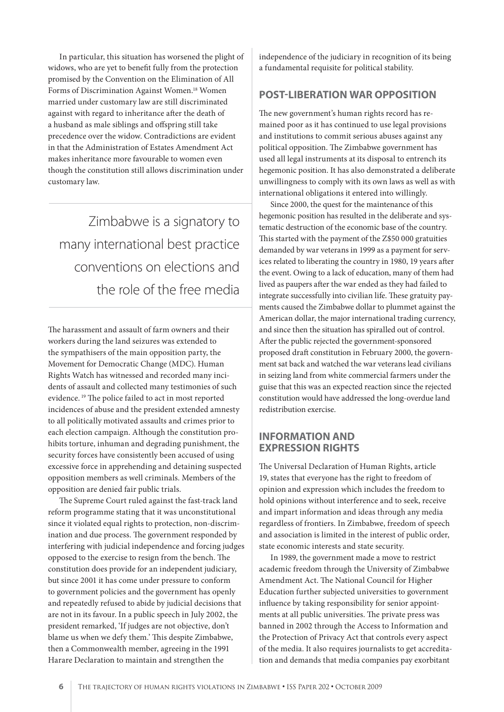In particular, this situation has worsened the plight of widows, who are yet to benefit fully from the protection promised by the Convention on the Elimination of All Forms of Discrimination Against Women.<sup>18</sup> Women married under customary law are still discriminated against with regard to inheritance after the death of a husband as male siblings and offspring still take precedence over the widow. Contradictions are evident in that the Administration of Estates Amendment Act makes inheritance more favourable to women even though the constitution still allows discrimination under customary law.

Zimbabwe is a signatory to many international best practice conventions on elections and the role of the free media

The harassment and assault of farm owners and their workers during the land seizures was extended to the sympathisers of the main opposition party, the Movement for Democratic Change (MDC). Human Rights Watch has witnessed and recorded many incidents of assault and collected many testimonies of such evidence.<sup>19</sup> The police failed to act in most reported incidences of abuse and the president extended amnesty to all politically motivated assaults and crimes prior to each election campaign. Although the constitution prohibits torture, inhuman and degrading punishment, the security forces have consistently been accused of using excessive force in apprehending and detaining suspected opposition members as well criminals. Members of the opposition are denied fair public trials.

The Supreme Court ruled against the fast-track land reform programme stating that it was unconstitutional since it violated equal rights to protection, non-discrimination and due process. The government responded by interfering with judicial independence and forcing judges opposed to the exercise to resign from the bench. The constitution does provide for an independent judiciary, but since 2001 it has come under pressure to conform to government policies and the government has openly and repeatedly refused to abide by judicial decisions that are not in its favour. In a public speech in July 2002, the president remarked, 'If judges are not objective, don't blame us when we defy them.' This despite Zimbabwe, then a Commonwealth member, agreeing in the 1991 Harare Declaration to maintain and strengthen the

independence of the judiciary in recognition of its being a fundamental requisite for political stability.

#### **POST-LIBERATION WAR OPPOSITION**

The new government's human rights record has remained poor as it has continued to use legal provisions and institutions to commit serious abuses against any political opposition. The Zimbabwe government has used all legal instruments at its disposal to entrench its hegemonic position. It has also demonstrated a deliberate unwillingness to comply with its own laws as well as with international obligations it entered into willingly.

Since 2000, the quest for the maintenance of this hegemonic position has resulted in the deliberate and systematic destruction of the economic base of the country. This started with the payment of the Z\$50 000 gratuities demanded by war veterans in 1999 as a payment for services related to liberating the country in 1980, 19 years after the event. Owing to a lack of education, many of them had lived as paupers after the war ended as they had failed to integrate successfully into civilian life. These gratuity payments caused the Zimbabwe dollar to plummet against the American dollar, the major international trading currency, and since then the situation has spiralled out of control. After the public rejected the government-sponsored proposed draft constitution in February 2000, the government sat back and watched the war veterans lead civilians in seizing land from white commercial farmers under the guise that this was an expected reaction since the rejected constitution would have addressed the long-overdue land redistribution exercise.

## **INFORMATION AND EXPRESSION RIGHTS**

The Universal Declaration of Human Rights, article 19, states that everyone has the right to freedom of opinion and expression which includes the freedom to hold opinions without interference and to seek, receive and impart information and ideas through any media regardless of frontiers. In Zimbabwe, freedom of speech and association is limited in the interest of public order, state economic interests and state security.

In 1989, the government made a move to restrict academic freedom through the University of Zimbabwe Amendment Act. The National Council for Higher Education further subjected universities to government influence by taking responsibility for senior appointments at all public universities. The private press was banned in 2002 through the Access to Information and the Protection of Privacy Act that controls every aspect of the media. It also requires journalists to get accreditation and demands that media companies pay exorbitant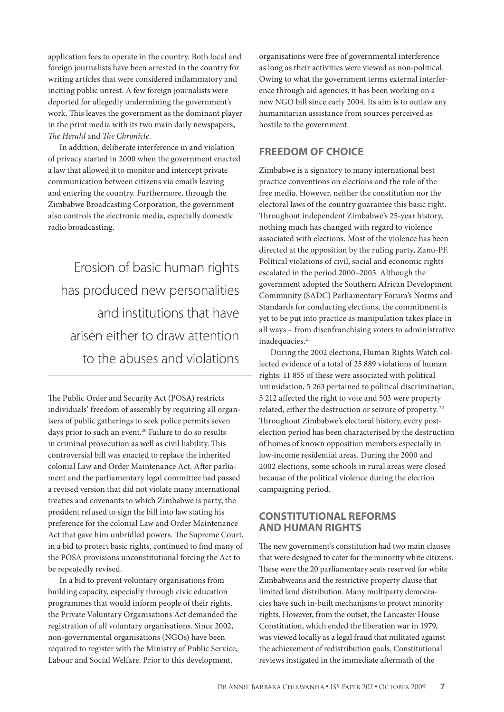application fees to operate in the country. Both local and foreign journalists have been arrested in the country for writing articles that were considered inflammatory and inciting public unrest. A few foreign journalists were deported for allegedly undermining the government's work. This leaves the government as the dominant player in the print media with its two main daily newspapers, *The Herald* and *The Chronicle*.

In addition, deliberate interference in and violation of privacy started in 2000 when the government enacted a law that allowed it to monitor and intercept private communication between citizens via emails leaving and entering the country. Furthermore, through the Zimbabwe Broadcasting Corporation, the government also controls the electronic media, especially domestic radio broadcasting.

Erosion of basic human rights has produced new personalities and institutions that have arisen either to draw attention to the abuses and violations

The Public Order and Security Act (POSA) restricts individuals' freedom of assembly by requiring all organisers of public gatherings to seek police permits seven days prior to such an event.<sup>20</sup> Failure to do so results in criminal prosecution as well as civil liability. This controversial bill was enacted to replace the inherited colonial Law and Order Maintenance Act. After parliament and the parliamentary legal committee had passed a revised version that did not violate many international treaties and covenants to which Zimbabwe is party, the president refused to sign the bill into law stating his preference for the colonial Law and Order Maintenance Act that gave him unbridled powers. The Supreme Court, in a bid to protect basic rights, continued to find many of the POSA provisions unconstitutional forcing the Act to be repeatedly revised.

In a bid to prevent voluntary organisations from building capacity, especially through civic education programmes that would inform people of their rights, the Private Voluntary Organisations Act demanded the registration of all voluntary organisations. Since 2002, non-governmental organisations (NGOs) have been required to register with the Ministry of Public Service, Labour and Social Welfare. Prior to this development,

organisations were free of governmental interference as long as their activities were viewed as non-political. Owing to what the government terms external interference through aid agencies, it has been working on a new NGO bill since early 2004. Its aim is to outlaw any humanitarian assistance from sources perceived as hostile to the government.

# **FREEDOM OF CHOICE**

Zimbabwe is a signatory to many international best practice conventions on elections and the role of the free media. However, neither the constitution nor the electoral laws of the country guarantee this basic right. Throughout independent Zimbabwe's 25-year history, nothing much has changed with regard to violence associated with elections. Most of the violence has been directed at the opposition by the ruling party, Zanu-PF. Political violations of civil, social and economic rights escalated in the period 2000–2005. Although the government adopted the Southern African Development Community (SADC) Parliamentary Forum's Norms and Standards for conducting elections, the commitment is yet to be put into practice as manipulation takes place in all ways – from disenfranchising voters to administrative inadequacies.<sup>21</sup>

During the 2002 elections, Human Rights Watch collected evidence of a total of 25 889 violations of human rights: 11 855 of these were associated with political intimidation, 5 263 pertained to political discrimination, 5 212 affected the right to vote and 503 were property related, either the destruction or seizure of property. 22 Throughout Zimbabwe's electoral history, every postelection period has been characterised by the destruction of homes of known opposition members especially in low-income residential areas. During the 2000 and 2002 elections, some schools in rural areas were closed because of the political violence during the election campaigning period.

## **CONSTITUTIONAL REFORMS AND HUMAN RIGHTS**

The new government's constitution had two main clauses that were designed to cater for the minority white citizens. These were the 20 parliamentary seats reserved for white Zimbabweans and the restrictive property clause that limited land distribution. Many multiparty democracies have such in-built mechanisms to protect minority rights. However, from the outset, the Lancaster House Constitution, which ended the liberation war in 1979, was viewed locally as a legal fraud that militated against the achievement of redistribution goals. Constitutional reviews instigated in the immediate aftermath of the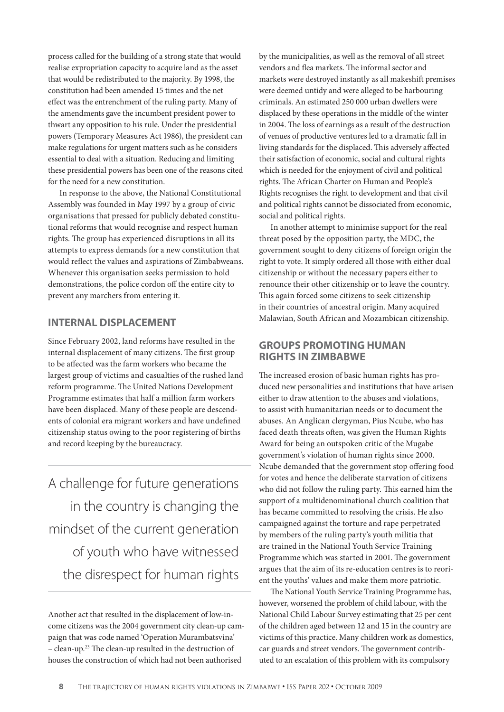process called for the building of a strong state that would realise expropriation capacity to acquire land as the asset that would be redistributed to the majority. By 1998, the constitution had been amended 15 times and the net effect was the entrenchment of the ruling party. Many of the amendments gave the incumbent president power to thwart any opposition to his rule. Under the presidential powers (Temporary Measures Act 1986), the president can make regulations for urgent matters such as he considers essential to deal with a situation. Reducing and limiting these presidential powers has been one of the reasons cited for the need for a new constitution.

In response to the above, the National Constitutional Assembly was founded in May 1997 by a group of civic organisations that pressed for publicly debated constitutional reforms that would recognise and respect human rights. The group has experienced disruptions in all its attempts to express demands for a new constitution that would reflect the values and aspirations of Zimbabweans. Whenever this organisation seeks permission to hold demonstrations, the police cordon off the entire city to prevent any marchers from entering it.

## **INTERNAL DISPLACEMENT**

Since February 2002, land reforms have resulted in the internal displacement of many citizens. The first group to be affected was the farm workers who became the largest group of victims and casualties of the rushed land reform programme. The United Nations Development Programme estimates that half a million farm workers have been displaced. Many of these people are descendents of colonial era migrant workers and have undefined citizenship status owing to the poor registering of births and record keeping by the bureaucracy.

A challenge for future generations in the country is changing the mindset of the current generation of youth who have witnessed the disrespect for human rights

Another act that resulted in the displacement of low-income citizens was the 2004 government city clean-up campaign that was code named 'Operation Murambatsvina' – clean-up.<sup>23</sup> The clean-up resulted in the destruction of houses the construction of which had not been authorised

by the municipalities, as well as the removal of all street vendors and flea markets. The informal sector and markets were destroyed instantly as all makeshift premises were deemed untidy and were alleged to be harbouring criminals. An estimated 250 000 urban dwellers were displaced by these operations in the middle of the winter in 2004. The loss of earnings as a result of the destruction of venues of productive ventures led to a dramatic fall in living standards for the displaced. This adversely affected their satisfaction of economic, social and cultural rights which is needed for the enjoyment of civil and political rights. The African Charter on Human and People's Rights recognises the right to development and that civil and political rights cannot be dissociated from economic, social and political rights.

In another attempt to minimise support for the real threat posed by the opposition party, the MDC, the government sought to deny citizens of foreign origin the right to vote. It simply ordered all those with either dual citizenship or without the necessary papers either to renounce their other citizenship or to leave the country. This again forced some citizens to seek citizenship in their countries of ancestral origin. Many acquired Malawian, South African and Mozambican citizenship.

# **GROUPS PROMOTING HUMAN RIGHTS IN ZIMBABWE**

The increased erosion of basic human rights has produced new personalities and institutions that have arisen either to draw attention to the abuses and violations, to assist with humanitarian needs or to document the abuses. An Anglican clergyman, Pius Ncube, who has faced death threats often, was given the Human Rights Award for being an outspoken critic of the Mugabe government's violation of human rights since 2000. Ncube demanded that the government stop offering food for votes and hence the deliberate starvation of citizens who did not follow the ruling party. This earned him the support of a multidenominational church coalition that has became committed to resolving the crisis. He also campaigned against the torture and rape perpetrated by members of the ruling party's youth militia that are trained in the National Youth Service Training Programme which was started in 2001. The government argues that the aim of its re-education centres is to reorient the youths' values and make them more patriotic.

The National Youth Service Training Programme has, however, worsened the problem of child labour, with the National Child Labour Survey estimating that 25 per cent of the children aged between 12 and 15 in the country are victims of this practice. Many children work as domestics, car guards and street vendors. The government contributed to an escalation of this problem with its compulsory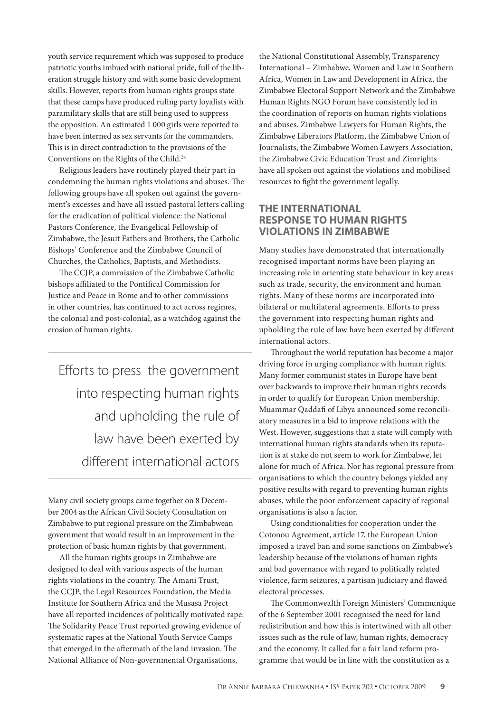youth service requirement which was supposed to produce patriotic youths imbued with national pride, full of the liberation struggle history and with some basic development skills. However, reports from human rights groups state that these camps have produced ruling party loyalists with paramilitary skills that are still being used to suppress the opposition. An estimated 1 000 girls were reported to have been interned as sex servants for the commanders. This is in direct contradiction to the provisions of the Conventions on the Rights of the Child.24

Religious leaders have routinely played their part in condemning the human rights violations and abuses. The following groups have all spoken out against the government's excesses and have all issued pastoral letters calling for the eradication of political violence: the National Pastors Conference, the Evangelical Fellowship of Zimbabwe, the Jesuit Fathers and Brothers, the Catholic Bishops' Conference and the Zimbabwe Council of Churches, the Catholics, Baptists, and Methodists.

The CCJP, a commission of the Zimbabwe Catholic bishops affiliated to the Pontifical Commission for Justice and Peace in Rome and to other commissions in other countries, has continued to act across regimes, the colonial and post-colonial, as a watchdog against the erosion of human rights.

Efforts to press the government into respecting human rights and upholding the rule of law have been exerted by different international actors

Many civil society groups came together on 8 December 2004 as the African Civil Society Consultation on Zimbabwe to put regional pressure on the Zimbabwean government that would result in an improvement in the protection of basic human rights by that government.

All the human rights groups in Zimbabwe are designed to deal with various aspects of the human rights violations in the country. The Amani Trust, the CCJP, the Legal Resources Foundation, the Media Institute for Southern Africa and the Musasa Project have all reported incidences of politically motivated rape. The Solidarity Peace Trust reported growing evidence of systematic rapes at the National Youth Service Camps that emerged in the aftermath of the land invasion. The National Alliance of Non-governmental Organisations,

the National Constitutional Assembly, Transparency International – Zimbabwe, Women and Law in Southern Africa, Women in Law and Development in Africa, the Zimbabwe Electoral Support Network and the Zimbabwe Human Rights NGO Forum have consistently led in the coordination of reports on human rights violations and abuses. Zimbabwe Lawyers for Human Rights, the Zimbabwe Liberators Platform, the Zimbabwe Union of Journalists, the Zimbabwe Women Lawyers Association, the Zimbabwe Civic Education Trust and Zimrights have all spoken out against the violations and mobilised resources to fight the government legally.

## **THE INTERNATIONAL RESPONSE TO HUMAN RIGHTS VIOLATIONS IN ZIMBABWE**

Many studies have demonstrated that internationally recognised important norms have been playing an increasing role in orienting state behaviour in key areas such as trade, security, the environment and human rights. Many of these norms are incorporated into bilateral or multilateral agreements. Efforts to press the government into respecting human rights and upholding the rule of law have been exerted by different international actors.

Throughout the world reputation has become a major driving force in urging compliance with human rights. Many former communist states in Europe have bent over backwards to improve their human rights records in order to qualify for European Union membership. Muammar Qaddafi of Libya announced some reconciliatory measures in a bid to improve relations with the West. However, suggestions that a state will comply with international human rights standards when its reputation is at stake do not seem to work for Zimbabwe, let alone for much of Africa. Nor has regional pressure from organisations to which the country belongs yielded any positive results with regard to preventing human rights abuses, while the poor enforcement capacity of regional organisations is also a factor.

Using conditionalities for cooperation under the Cotonou Agreement, article 17, the European Union imposed a travel ban and some sanctions on Zimbabwe's leadership because of the violations of human rights and bad governance with regard to politically related violence, farm seizures, a partisan judiciary and flawed electoral processes.

The Commonwealth Foreign Ministers' Communique of the 6 September 2001 recognised the need for land redistribution and how this is intertwined with all other issues such as the rule of law, human rights, democracy and the economy. It called for a fair land reform programme that would be in line with the constitution as a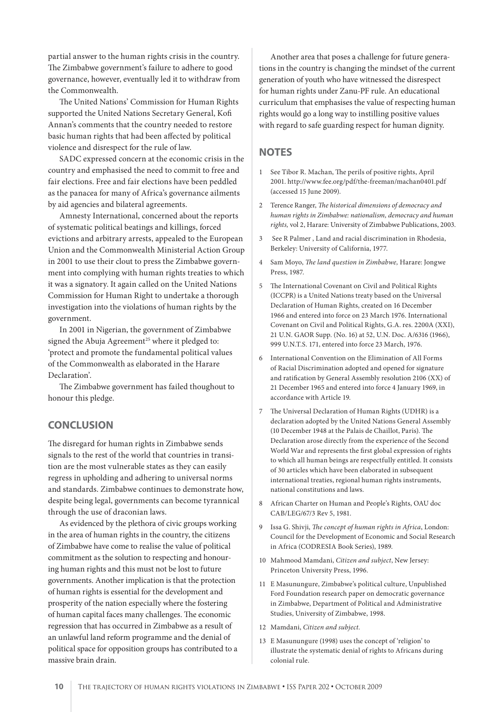partial answer to the human rights crisis in the country. The Zimbabwe government's failure to adhere to good governance, however, eventually led it to withdraw from the Commonwealth.

The United Nations' Commission for Human Rights supported the United Nations Secretary General, Kofi Annan's comments that the country needed to restore basic human rights that had been affected by political violence and disrespect for the rule of law.

SADC expressed concern at the economic crisis in the country and emphasised the need to commit to free and fair elections. Free and fair elections have been peddled as the panacea for many of Africa's governance ailments by aid agencies and bilateral agreements.

Amnesty International, concerned about the reports of systematic political beatings and killings, forced evictions and arbitrary arrests, appealed to the European Union and the Commonwealth Ministerial Action Group in 2001 to use their clout to press the Zimbabwe government into complying with human rights treaties to which it was a signatory. It again called on the United Nations Commission for Human Right to undertake a thorough investigation into the violations of human rights by the government.

In 2001 in Nigerian, the government of Zimbabwe signed the Abuja Agreement<sup>25</sup> where it pledged to: 'protect and promote the fundamental political values of the Commonwealth as elaborated in the Harare Declaration'.

The Zimbabwe government has failed thoughout to honour this pledge.

#### **CONCLUSION**

The disregard for human rights in Zimbabwe sends signals to the rest of the world that countries in transition are the most vulnerable states as they can easily regress in upholding and adhering to universal norms and standards. Zimbabwe continues to demonstrate how, despite being legal, governments can become tyrannical through the use of draconian laws.

As evidenced by the plethora of civic groups working in the area of human rights in the country, the citizens of Zimbabwe have come to realise the value of political commitment as the solution to respecting and honouring human rights and this must not be lost to future governments. Another implication is that the protection of human rights is essential for the development and prosperity of the nation especially where the fostering of human capital faces many challenges. The economic regression that has occurred in Zimbabwe as a result of an unlawful land reform programme and the denial of political space for opposition groups has contributed to a massive brain drain.

Another area that poses a challenge for future generations in the country is changing the mindset of the current generation of youth who have witnessed the disrespect for human rights under Zanu-PF rule. An educational curriculum that emphasises the value of respecting human rights would go a long way to instilling positive values with regard to safe guarding respect for human dignity.

#### **NOTES**

- 1 See Tibor R. Machan, The perils of positive rights, April 2001. http://www.fee.org/pdf/the-freeman/machan0401.pdf (accessed 15 June 2009).
- 2 Terence Ranger, *The historical dimensions of democracy and human rights in Zimbabwe: nationalism, democracy and human rights,* vol 2, Harare: University of Zimbabwe Publications, 2003.
- 3 See R Palmer , Land and racial discrimination in Rhodesia, Berkeley: University of California, 1977.
- 4 Sam Moyo, *The land question in Zimbabwe*, Harare: Jongwe Press, 1987.
- 5 The International Covenant on Civil and Political Rights (ICCPR) is a United Nations treaty based on the Universal Declaration of Human Rights, created on 16 December 1966 and entered into force on 23 March 1976. International Covenant on Civil and Political Rights, G.A. res. 2200A (XXI), 21 U.N. GAOR Supp. (No. 16) at 52, U.N. Doc. A/6316 (1966), 999 U.N.T.S. 171, entered into force 23 March, 1976.
- 6 International Convention on the Elimination of All Forms of Racial Discrimination adopted and opened for signature and ratification by General Assembly resolution 2106 (XX) of 21 December 1965 and entered into force 4 January 1969, in accordance with Article 19.
- 7 The Universal Declaration of Human Rights (UDHR) is a declaration adopted by the United Nations General Assembly (10 December 1948 at the Palais de Chaillot, Paris). The Declaration arose directly from the experience of the Second World War and represents the first global expression of rights to which all human beings are respectfully entitled. It consists of 30 articles which have been elaborated in subsequent international treaties, regional human rights instruments, national constitutions and laws.
- 8 African Charter on Human and People's Rights, OAU doc CAB/LEG/67/3 Rev 5, 1981.
- 9 Issa G. Shivji, *The concept of human rights in Africa*, London: Council for the Development of Economic and Social Research in Africa (CODRESIA Book Series), 1989.
- 10 Mahmood Mamdani, *Citizen and subject*, New Jersey: Princeton University Press, 1996.
- 11 E Masunungure, Zimbabwe's political culture, Unpublished Ford Foundation research paper on democratic governance in Zimbabwe, Department of Political and Administrative Studies, University of Zimbabwe, 1998.
- 12 Mamdani, *Citizen and subject.*
- 13 E Masunungure (1998) uses the concept of 'religion' to illustrate the systematic denial of rights to Africans during colonial rule.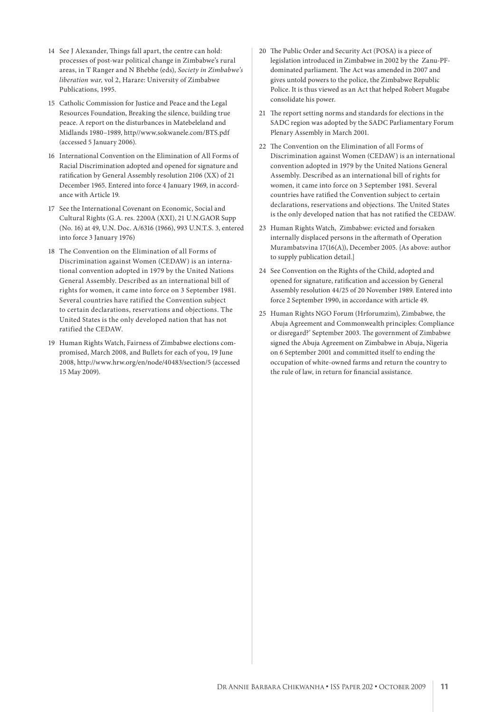- 14 See J Alexander, Things fall apart, the centre can hold: processes of post-war political change in Zimbabwe's rural areas, in T Ranger and N Bhebhe (eds), *Society in Zimbabwe's liberation war,* vol 2, Harare: University of Zimbabwe Publications, 1995.
- 15 Catholic Commission for Justice and Peace and the Legal Resources Foundation, Breaking the silence, building true peace. A report on the disturbances in Matebeleland and Midlands 1980–1989, http//www.sokwanele.com/BTS.pdf (accessed 5 January 2006).
- 16 International Convention on the Elimination of All Forms of Racial Discrimination adopted and opened for signature and ratification by General Assembly resolution 2106 (XX) of 21 December 1965. Entered into force 4 January 1969, in accordance with Article 19.
- 17 See the International Covenant on Economic, Social and Cultural Rights (G.A. res. 2200A (XXI), 21 U.N.GAOR Supp (No. 16) at 49, U.N. Doc. A/6316 (1966), 993 U.N.T.S. 3, entered into force 3 January 1976)
- 18 The Convention on the Elimination of all Forms of Discrimination against Women (CEDAW) is an international convention adopted in 1979 by the United Nations General Assembly. Described as an international bill of rights for women, it came into force on 3 September 1981. Several countries have ratified the Convention subject to certain declarations, reservations and objections. The United States is the only developed nation that has not ratified the CEDAW.
- 19 Human Rights Watch, Fairness of Zimbabwe elections compromised, March 2008, and Bullets for each of you, 19 June 2008, http://www.hrw.org/en/node/40483/section/5 (accessed 15 May 2009).
- 20 The Public Order and Security Act (POSA) is a piece of legislation introduced in Zimbabwe in 2002 by the Zanu-PFdominated parliament. The Act was amended in 2007 and gives untold powers to the police, the Zimbabwe Republic Police. It is thus viewed as an Act that helped Robert Mugabe consolidate his power.
- 21 The report setting norms and standards for elections in the SADC region was adopted by the SADC Parliamentary Forum Plenary Assembly in March 2001.
- 22 The Convention on the Elimination of all Forms of Discrimination against Women (CEDAW) is an international convention adopted in 1979 by the United Nations General Assembly. Described as an international bill of rights for women, it came into force on 3 September 1981. Several countries have ratified the Convention subject to certain declarations, reservations and objections. The United States is the only developed nation that has not ratified the CEDAW.
- 23 Human Rights Watch, Zimbabwe: evicted and forsaken internally displaced persons in the aftermath of Operation Murambatsvina 17(16(A)), December 2005. {As above: author to supply publication detail.]
- 24 See Convention on the Rights of the Child, adopted and opened for signature, ratification and accession by General Assembly resolution 44/25 of 20 November 1989. Entered into force 2 September 1990, in accordance with article 49.
- 25 Human Rights NGO Forum (Hrforumzim), Zimbabwe, the Abuja Agreement and Commonwealth principles: Compliance or disregard?' September 2003. The government of Zimbabwe signed the Abuja Agreement on Zimbabwe in Abuja, Nigeria on 6 September 2001 and committed itself to ending the occupation of white-owned farms and return the country to the rule of law, in return for financial assistance.